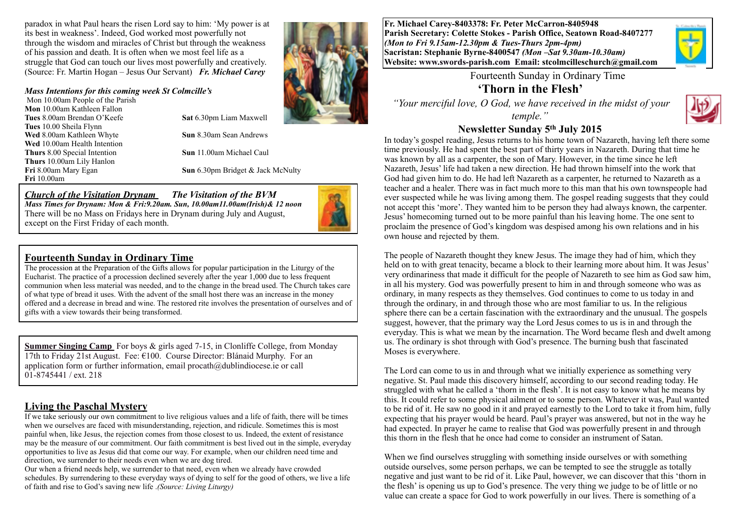paradox in what Paul hears the risen Lord say to him: 'My power is at its best in weakness'. Indeed, God worked most powerfully not through the wisdom and miracles of Christ but through the weakness of his passion and death. It is often when we most feel life as a struggle that God can touch our lives most powerfully and creatively. (Source: Fr. Martin Hogan – Jesus Our Servant) *Fr. Michael Carey*

#### *Mass Intentions for this coming week St Colmcille's*

Mon 10.00am People of the Parish **Mon** 10.00am Kathleen Fallon **Tues** 8.00am Brendan O'Keefe **Sat** 6.30pm Liam Maxwell **Tues** 10.00 Sheila Flynn **Wed** 8.00am Kathleen Whyte **Sun** 8.30am Sean Andrews **Wed** 10.00am Health Intention **Thurs** 8.00 Special Intention **Sun** 11.00am Michael Caul **Thurs** 10.00am Lily Hanlon **Fri** 10.00am

**Fri** 8.00am Mary Egan **Sun** 6.30pm Bridget & Jack McNulty

#### *Church of the Visitation Drynam**The Visitation of the BVM*

*Mass Times for Drynam: Mon & Fri:9.20am. Sun, 10.00am11.00am(Irish)& 12 noon* There will be no Mass on Fridays here in Drynam during July and August, except on the First Friday of each month.

#### **Fourteenth Sunday in Ordinary Time**

The procession at the Preparation of the Gifts allows for popular participation in the Liturgy of the Eucharist. The practice of a procession declined severely after the year 1,000 due to less frequent communion when less material was needed, and to the change in the bread used. The Church takes care of what type of bread it uses. With the advent of the small host there was an increase in the money offered and a decrease in bread and wine. The restored rite involves the presentation of ourselves and of gifts with a view towards their being transformed.

**Summer Singing Camp** For boys & girls aged 7-15, in Clonliffe College, from Monday 17th to Friday 21st August. Fee:  $\epsilon$ 100. Course Director: Blánaid Murphy. For an application form or further information, email procath@dublindiocese.ie or call 01-8745441 / ext. 218

#### **Living the Paschal Mystery**

If we take seriously our own commitment to live religious values and a life of faith, there will be times when we ourselves are faced with misunderstanding, rejection, and ridicule. Sometimes this is most painful when, like Jesus, the rejection comes from those closest to us. Indeed, the extent of resistance may be the measure of our commitment. Our faith commitment is best lived out in the simple, everyday opportunities to live as Jesus did that come our way. For example, when our children need time and direction, we surrender to their needs even when we are dog tired.

Our when a friend needs help, we surrender to that need, even when we already have crowded schedules. By surrendering to these everyday ways of dying to self for the good of others, we live a life of faith and rise to God's saving new life .*(Source: Living Liturgy)*

**Fr. Michael Carey-8403378: Fr. Peter McCarron-8405948 Parish Secretary: Colette Stokes - Parish Office, Seatown Road-8407277**  *(Mon to Fri 9.15am-12.30pm & Tues-Thurs 2pm-4pm)*  **Sacristan: Stephanie Byrne-8400547** *(Mon –Sat 9.30am-10.30am)* **Website: [www.swords-parish.com Email](http://www.swords-parish.com%20%20email): stcolmcilleschurch@gmail.com**



Fourteenth Sunday in Ordinary Time

**'Thorn in the Flesh'** 

 *"Your merciful love, O God, we have received in the midst of your temple."* 



# **Newsletter Sunday 5th July 2015**

In today's gospel reading, Jesus returns to his home town of Nazareth, having left there some time previously. He had spent the best part of thirty years in Nazareth. During that time he was known by all as a carpenter, the son of Mary. However, in the time since he left Nazareth, Jesus' life had taken a new direction. He had thrown himself into the work that God had given him to do. He had left Nazareth as a carpenter, he returned to Nazareth as a teacher and a healer. There was in fact much more to this man that his own townspeople had ever suspected while he was living among them. The gospel reading suggests that they could not accept this 'more'. They wanted him to be person they had always known, the carpenter. Jesus' homecoming turned out to be more painful than his leaving home. The one sent to proclaim the presence of God's kingdom was despised among his own relations and in his own house and rejected by them.

The people of Nazareth thought they knew Jesus. The image they had of him, which they held on to with great tenacity, became a block to their learning more about him. It was Jesus' very ordinariness that made it difficult for the people of Nazareth to see him as God saw him, in all his mystery. God was powerfully present to him in and through someone who was as ordinary, in many respects as they themselves. God continues to come to us today in and through the ordinary, in and through those who are most familiar to us. In the religious sphere there can be a certain fascination with the extraordinary and the unusual. The gospels suggest, however, that the primary way the Lord Jesus comes to us is in and through the everyday. This is what we mean by the incarnation. The Word became flesh and dwelt among us. The ordinary is shot through with God's presence. The burning bush that fascinated Moses is everywhere.

The Lord can come to us in and through what we initially experience as something very negative. St. Paul made this discovery himself, according to our second reading today. He struggled with what he called a 'thorn in the flesh'. It is not easy to know what he means by this. It could refer to some physical ailment or to some person. Whatever it was, Paul wanted to be rid of it. He saw no good in it and prayed earnestly to the Lord to take it from him, fully expecting that his prayer would be heard. Paul's prayer was answered, but not in the way he had expected. In prayer he came to realise that God was powerfully present in and through this thorn in the flesh that he once had come to consider an instrument of Satan.

When we find ourselves struggling with something inside ourselves or with something outside ourselves, some person perhaps, we can be tempted to see the struggle as totally negative and just want to be rid of it. Like Paul, however, we can discover that this 'thorn in the flesh' is opening us up to God's presence. The very thing we judge to be of little or no value can create a space for God to work powerfully in our lives. There is something of a